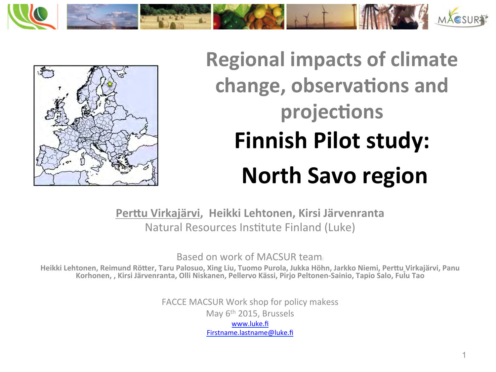



# **Regional impacts of climate** change, observations and projections **Finnish Pilot study: North Savo region**

Perttu Virkajärvi, Heikki Lehtonen, Kirsi Järvenranta Natural Resources Institute Finland (Luke)

Based on work of MACSUR team.

Heikki Lehtonen, Reimund Rötter, Taru Palosuo, Xing Liu, Tuomo Purola, Jukka Höhn, Jarkko Niemi, Perttu Virkajärvi, Panu Korhonen, , Kirsi Järvenranta, Olli Niskanen, Pellervo Kässi, Pirjo Peltonen-Sainio, Tapio Salo, Fulu Tao

> FACCE MACSUR Work shop for policy makess May  $6<sup>th</sup>$  2015, Brussels www.luke.fi Firstname.lastname@luke.fi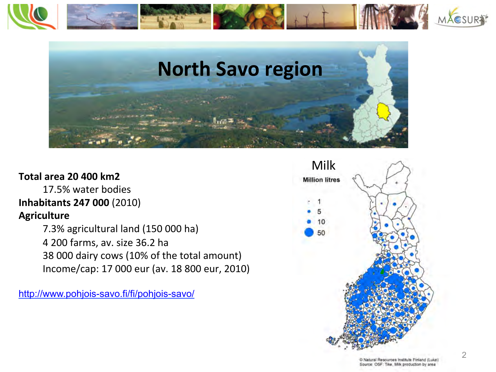



#### **Total area 20 400 km2**

17.5% water bodies **Inhabitants 247 000** (2010) **Agriculture** 

7.3% agricultural land (150 000 ha) 4 200 farms, av. size 36.2 ha 38 000 dairy cows (10% of the total amount) Income/cap: 17 000 eur (av. 18 800 eur, 2010) 

http://www.pohjois-savo.fi/fi/pohjois-savo/



D Natural Resources Institute Finland (Luke) Source: OSF: Tike, Milk production by area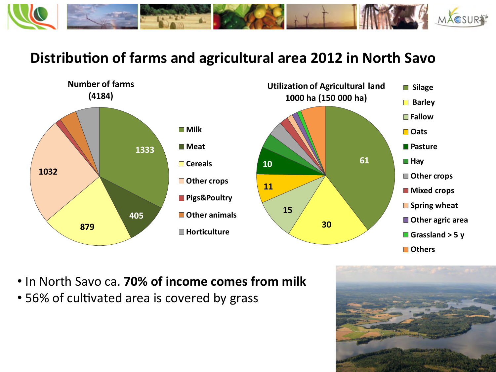

### **Distribution of farms and agricultural area 2012 in North Savo**



- In North Savo ca. **70% of income comes from milk**
- 56% of cultivated area is covered by grass

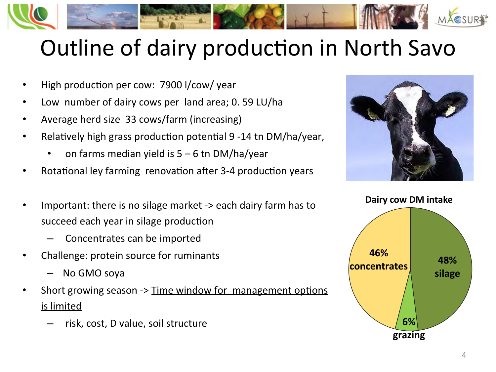

# Outline of dairy production in North Savo

- High production per cow: 7900 l/cow/ year
- Low number of dairy cows per land area; 0. 59 LU/ha
- Average herd size 33 cows/farm (increasing)
- Relatively high grass production potential 9 -14 tn DM/ha/year,
	- on farms median yield is  $5 6$  tn DM/ha/year
- Rotational ley farming renovation after 3-4 production years



- Concentrates can be imported
- Challenge: protein source for ruminants
	- No GMO soya
- Short growing season -> Time window for management options is limited
	- risk, cost, D value, soil structure



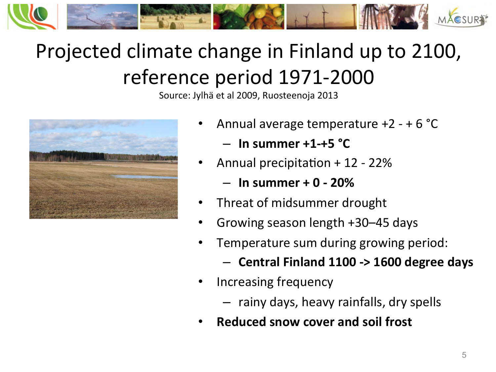

## Projected climate change in Finland up to 2100, reference period 1971-2000

Source: Jylhä et al 2009, Ruosteenoja 2013



- Annual average temperature  $+2 + 6$  °C
	- **In summer +1-+5 °C**
- Annual precipitation  $+12 22%$ 
	- $-$  In summer  $+$  0 20%
- Threat of midsummer drought
- Growing season length +30–45 days
- Temperature sum during growing period:
	- **Central Finland 1100 -> 1600 degree days**
- Increasing frequency
	- $-$  rainy days, heavy rainfalls, dry spells
- **Reduced snow cover and soil frost**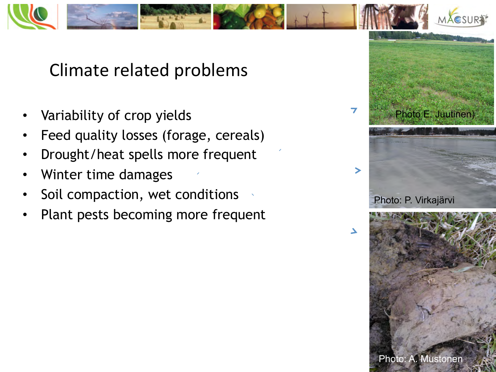

Climate related problems

- Variability of crop yields
- Feed quality losses (forage, cereals)
- Drought/heat spells more frequent
- Winter time damages
- Soil compaction, wet conditions
- Plant pests becoming more frequent

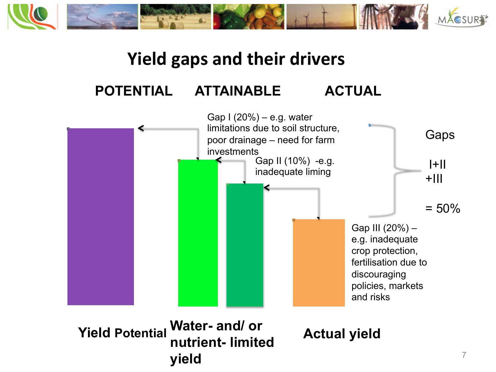

### **Yield gaps and their drivers**

### **POTENTIAL ATTAINABLE ACTUAL**

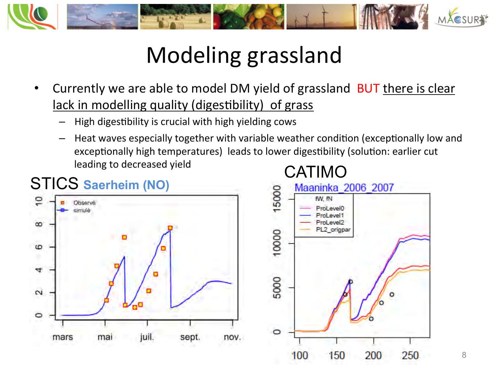

# Modeling grassland

- Currently we are able to model DM yield of grassland BUT there is clear lack in modelling quality (digestibility) of grass
	- High digestibility is crucial with high yielding cows
	- Heat waves especially together with variable weather condition (exceptionally low and exceptionally high temperatures) leads to lower digestibility (solution: earlier cut leading to decreased yield

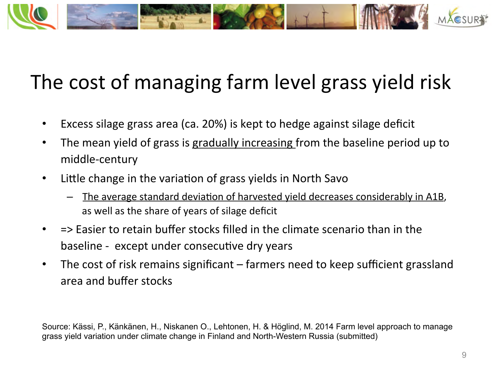

### The cost of managing farm level grass yield risk

- Excess silage grass area (ca. 20%) is kept to hedge against silage deficit
- The mean yield of grass is gradually increasing from the baseline period up to middle-century
- Little change in the variation of grass yields in North Savo
	- The average standard deviation of harvested vield decreases considerably in A1B, as well as the share of years of silage deficit
- => Easier to retain buffer stocks filled in the climate scenario than in the baseline - except under consecutive dry years
- The cost of risk remains significant farmers need to keep sufficient grassland area and buffer stocks

Source: Kässi, P., Känkänen, H., Niskanen O., Lehtonen, H. & Höglind, M. 2014 Farm level approach to manage grass yield variation under climate change in Finland and North-Western Russia (submitted)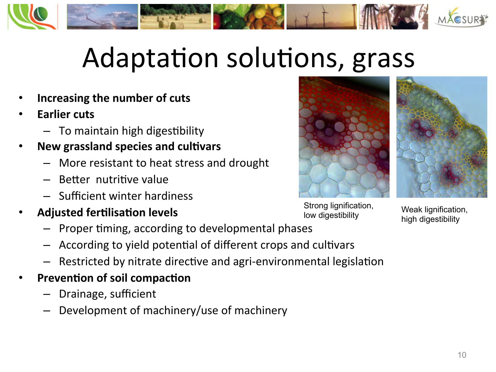

# Adaptation solutions, grass

- **Increasing the number of cuts**
- **Earlier** cuts
	- $-$  To maintain high digestibility
- **New grassland species and cultivars** 
	- More resistant to heat stress and drought
	- Better nutritive value
	- Sufficient winter hardiness
- **Adjusted fertilisation levels** 
	- Proper timing, according to developmental phases
	- According to yield potential of different crops and cultivars
	- Restricted by nitrate directive and agri-environmental legislation
- **Prevention of soil compaction** 
	- Drainage, sufficient
	- Development of machinery/use of machinery





Strong lignification, Suong lignification,<br>low digestibility<br>low digestibility<br>bigh digestibility

high digestibility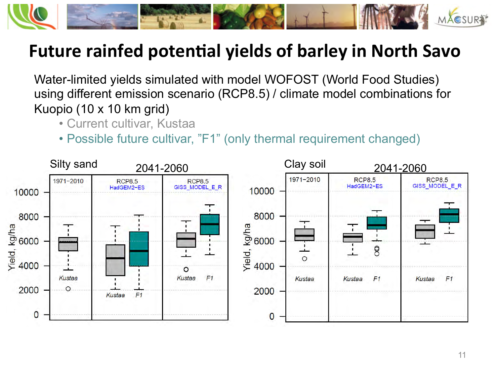

### Future rainfed potential yields of barley in North Savo

Water-limited yields simulated with model WOFOST (World Food Studies) using different emission scenario (RCP8.5) / climate model combinations for Kuopio (10 x 10 km grid)

- Current cultivar, Kustaa
- Possible future cultivar, "F1" (only thermal requirement changed)

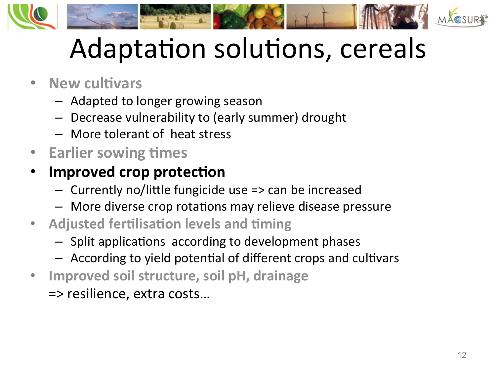

# Adaptation solutions, cereals

### • **New cultivars**

- $-$  Adapted to longer growing season
- Decrease vulnerability to (early summer) drought
- More tolerant of heat stress
- Earlier sowing times

### **Improved crop protection**

- $-$  Currently no/little fungicide use  $\Rightarrow$  can be increased
- More diverse crop rotations may relieve disease pressure
- **Adjusted fertilisation levels and timing** 
	- $-$  Split applications according to development phases
	- $-$  According to yield potential of different crops and cultivars
- **Improved soil structure, soil pH, drainage** 
	- => resilience, extra costs…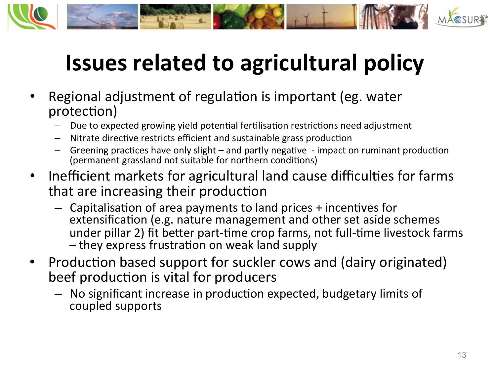

# **Issues related to agricultural policy**

- Regional adjustment of regulation is important (eg. water protection)
	- Due to expected growing yield potential fertilisation restrictions need adjustment
	- Nitrate directive restricts efficient and sustainable grass production
	- Greening practices have only slight and partly negative impact on ruminant production (permanent grassland not suitable for northern conditions)
- Inefficient markets for agricultural land cause difficulties for farms that are increasing their production
	- $-$  Capitalisation of area payments to land prices + incentives for extensification (e.g. nature management and other set aside schemes under pillar 2) fit better part-time crop farms, not full-time livestock farms - they express frustration on weak land supply
- Production based support for suckler cows and (dairy originated) beef production is vital for producers
	- No significant increase in production expected, budgetary limits of coupled supports